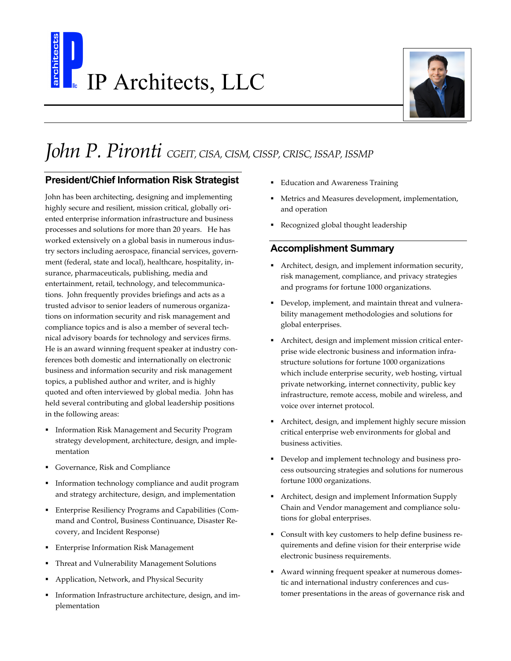## IP Architects, LLC



## *John P. Pironti CGEIT, CISA, CISM, CISSP, CRISC, ISSAP, ISSMP*

## **President/Chief Information Risk Strategist**

John has been architecting, designing and implementing highly secure and resilient, mission critical, globally oriented enterprise information infrastructure and business processes and solutions for more than 20 years. He has worked extensively on a global basis in numerous industry sectors including aerospace, financial services, government (federal, state and local), healthcare, hospitality, insurance, pharmaceuticals, publishing, media and entertainment, retail, technology, and telecommunications. John frequently provides briefings and acts as a trusted advisor to senior leaders of numerous organizations on information security and risk management and compliance topics and is also a member of several technical advisory boards for technology and services firms. He is an award winning frequent speaker at industry conferences both domestic and internationally on electronic business and information security and risk management topics, a published author and writer, and is highly quoted and often interviewed by global media. John has held several contributing and global leadership positions in the following areas:

- Information Risk Management and Security Program strategy development, architecture, design, and implementation
- § Governance, Risk and Compliance
- § Information technology compliance and audit program and strategy architecture, design, and implementation
- § Enterprise Resiliency Programs and Capabilities (Command and Control, Business Continuance, Disaster Recovery, and Incident Response)
- Enterprise Information Risk Management
- § Threat and Vulnerability Management Solutions
- § Application, Network, and Physical Security
- Information Infrastructure architecture, design, and implementation
- Education and Awareness Training
- Metrics and Measures development, implementation, and operation
- § Recognized global thought leadership

## **Accomplishment Summary**

- Architect, design, and implement information security, risk management, compliance, and privacy strategies and programs for fortune 1000 organizations.
- § Develop, implement, and maintain threat and vulnerability management methodologies and solutions for global enterprises.
- § Architect, design and implement mission critical enterprise wide electronic business and information infrastructure solutions for fortune 1000 organizations which include enterprise security, web hosting, virtual private networking, internet connectivity, public key infrastructure, remote access, mobile and wireless, and voice over internet protocol.
- § Architect, design, and implement highly secure mission critical enterprise web environments for global and business activities.
- § Develop and implement technology and business process outsourcing strategies and solutions for numerous fortune 1000 organizations.
- § Architect, design and implement Information Supply Chain and Vendor management and compliance solutions for global enterprises.
- § Consult with key customers to help define business requirements and define vision for their enterprise wide electronic business requirements.
- § Award winning frequent speaker at numerous domestic and international industry conferences and customer presentations in the areas of governance risk and